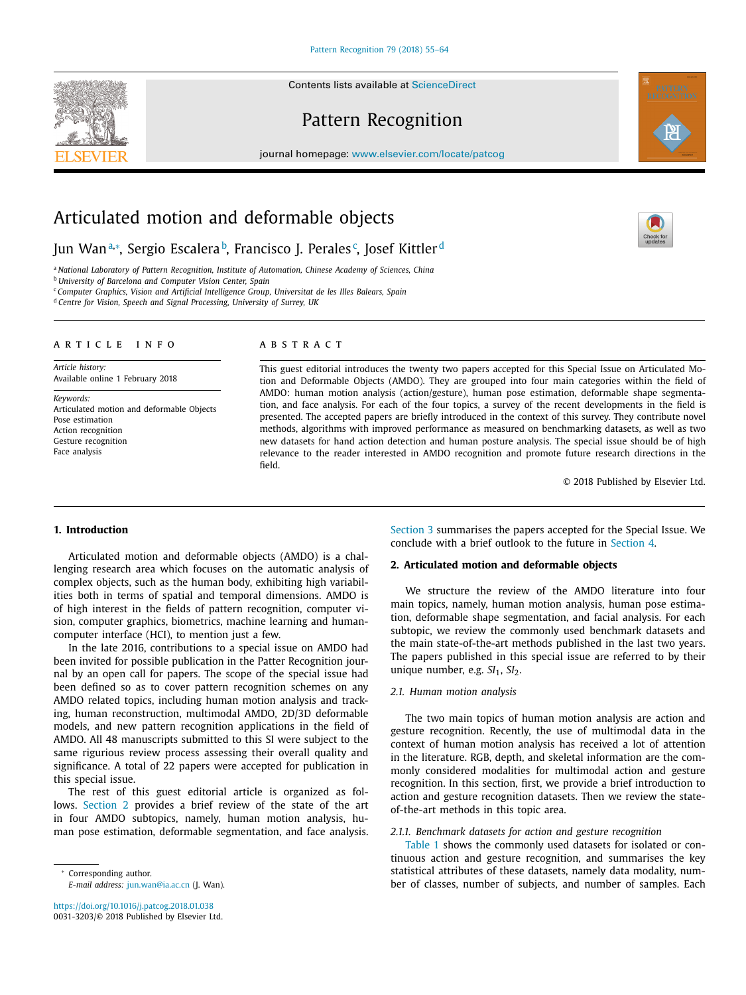Contents lists available at ScienceDirect

# Pattern Recognition

journal homepage: www.elsevier.com/locate/patcog

# Articulated motion and deformable objects

# Jun Wanª,\*, Sergio Escalera<sup>b</sup>, Francisco J. Perales¢, Josef Kittler<sup>d</sup>

<sup>a</sup> *National Laboratory of Pattern Recognition, Institute of Automation, Chinese Academy of Sciences, China* <sup>b</sup> *University of Barcelona and Computer Vision Center, Spain*

<sup>c</sup> *Computer Graphics, Vision and Artificial Intelligence Group, Universitat de les Illes Balears, Spain*

<sup>d</sup> *Centre for Vision, Speech and Signal Processing, University of Surrey, UK*

# a r t i c l e i n f o

*Article history:* Available online 1 February 2018

*Keywords:* Articulated motion and deformable Objects Pose estimation Action recognition Gesture recognition Face analysis

# A B S T R A C T

This guest editorial introduces the twenty two papers accepted for this Special Issue on Articulated Motion and Deformable Objects (AMDO). They are grouped into four main categories within the field of AMDO: human motion analysis (action/gesture), human pose estimation, deformable shape segmentation, and face analysis. For each of the four topics, a survey of the recent developments in the field is presented. The accepted papers are briefly introduced in the context of this survey. They contribute novel methods, algorithms with improved performance as measured on benchmarking datasets, as well as two new datasets for hand action detection and human posture analysis. The special issue should be of high relevance to the reader interested in AMDO recognition and promote future research directions in the field.

© 2018 Published by Elsevier Ltd.

### **1. Introduction**

Articulated motion and deformable objects (AMDO) is a challenging research area which focuses on the automatic analysis of complex objects, such as the human body, exhibiting high variabilities both in terms of spatial and temporal dimensions. AMDO is of high interest in the fields of pattern recognition, computer vision, computer graphics, biometrics, machine learning and humancomputer interface (HCI), to mention just a few.

In the late 2016, contributions to a special issue on AMDO had been invited for possible publication in the Patter Recognition journal by an open call for papers. The scope of the special issue had been defined so as to cover pattern recognition schemes on any AMDO related topics, including human motion analysis and tracking, human reconstruction, multimodal AMDO, 2D/3D deformable models, and new pattern recognition applications in the field of AMDO. All 48 manuscripts submitted to this SI were subject to the same rigurious review process assessing their overall quality and significance. A total of 22 papers were accepted for publication in this special issue.

The rest of this guest editorial article is organized as follows. Section 2 provides a brief review of the state of the art in four AMDO subtopics, namely, human motion analysis, human pose estimation, deformable segmentation, and face analysis.

Corresponding author. *E-mail address:* jun.wan@ia.ac.cn (J. Wan).

https://doi.org/10.1016/j.patcog.2018.01.038 0031-3203/© 2018 Published by Elsevier Ltd. Section 3 summarises the papers accepted for the Special Issue. We conclude with a brief outlook to the future in Section 4.

# **2. Articulated motion and deformable objects**

We structure the review of the AMDO literature into four main topics, namely, human motion analysis, human pose estimation, deformable shape segmentation, and facial analysis. For each subtopic, we review the commonly used benchmark datasets and the main state-of-the-art methods published in the last two years. The papers published in this special issue are referred to by their unique number, e.g. *SI*<sub>1</sub>, *SI*<sub>2</sub>.

## *2.1. Human motion analysis*

The two main topics of human motion analysis are action and gesture recognition. Recently, the use of multimodal data in the context of human motion analysis has received a lot of attention in the literature. RGB, depth, and skeletal information are the commonly considered modalities for multimodal action and gesture recognition. In this section, first, we provide a brief introduction to action and gesture recognition datasets. Then we review the stateof-the-art methods in this topic area.

## *2.1.1. Benchmark datasets for action and gesture recognition*

Table 1 shows the commonly used datasets for isolated or continuous action and gesture recognition, and summarises the key statistical attributes of these datasets, namely data modality, number of classes, number of subjects, and number of samples. Each





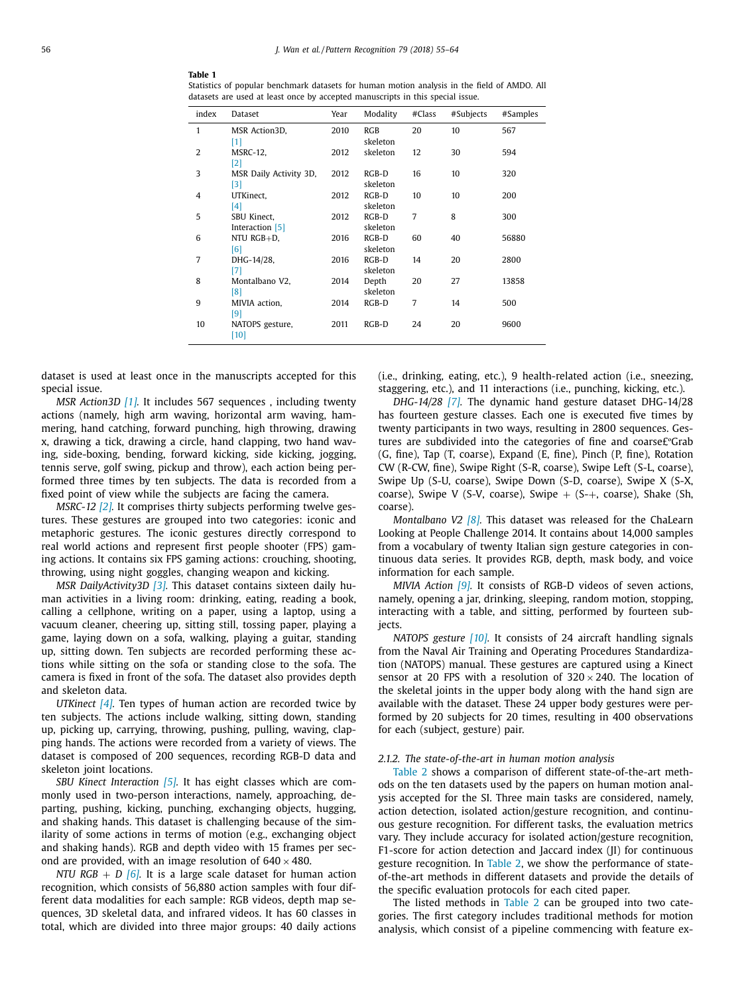| index          | Dataset                        | Year | Modality            | #Class | #Subjects | #Samples |
|----------------|--------------------------------|------|---------------------|--------|-----------|----------|
| 1              | MSR Action3D,<br>[1]           | 2010 | RGB<br>skeleton     | 20     | 10        | 567      |
| 2              | MSRC-12,<br>[2]                | 2012 | skeleton            | 12     | 30        | 594      |
| 3              | MSR Daily Activity 3D,<br>[3]  | 2012 | $RGB-D$<br>skeleton | 16     | 10        | 320      |
| $\overline{4}$ | UTKinect,<br>[4]               | 2012 | $RGB-D$<br>skeleton | 10     | 10        | 200      |
| 5              | SBU Kinect,<br>Interaction [5] | 2012 | $RGB-D$<br>skeleton | 7      | 8         | 300      |
| 6              | NTU RGB+D,<br>[6]              | 2016 | $RGB-D$<br>skeleton | 60     | 40        | 56880    |
| 7              | DHG-14/28,<br>[7]              | 2016 | $RGB-D$<br>skeleton | 14     | 20        | 2800     |
| 8              | Montalbano V2,<br>$^{[8]}$     | 2014 | Depth<br>skeleton   | 20     | 27        | 13858    |
| 9              | MIVIA action,<br>[9]           | 2014 | $RGB-D$             | 7      | 14        | 500      |
| 10             | NATOPS gesture,<br>[10]        | 2011 | $RGB-D$             | 24     | 20        | 9600     |
|                |                                |      |                     |        |           |          |

**Table 1** Statistics of popular benchmark datasets for human motion analysis in the field of AMDO. All datasets are used at least once by accepted manuscripts in this special issue.

dataset is used at least once in the manuscripts accepted for this special issue.

*MSR Action3D [1].* It includes 567 sequences , including twenty actions (namely, high arm waving, horizontal arm waving, hammering, hand catching, forward punching, high throwing, drawing x, drawing a tick, drawing a circle, hand clapping, two hand waving, side-boxing, bending, forward kicking, side kicking, jogging, tennis serve, golf swing, pickup and throw), each action being performed three times by ten subjects. The data is recorded from a fixed point of view while the subjects are facing the camera.

*MSRC-12 [2].* It comprises thirty subjects performing twelve gestures. These gestures are grouped into two categories: iconic and metaphoric gestures. The iconic gestures directly correspond to real world actions and represent first people shooter (FPS) gaming actions. It contains six FPS gaming actions: crouching, shooting, throwing, using night goggles, changing weapon and kicking.

*MSR DailyActivity3D [3].* This dataset contains sixteen daily human activities in a living room: drinking, eating, reading a book, calling a cellphone, writing on a paper, using a laptop, using a vacuum cleaner, cheering up, sitting still, tossing paper, playing a game, laying down on a sofa, walking, playing a guitar, standing up, sitting down. Ten subjects are recorded performing these actions while sitting on the sofa or standing close to the sofa. The camera is fixed in front of the sofa. The dataset also provides depth and skeleton data.

*UTKinect [4].* Ten types of human action are recorded twice by ten subjects. The actions include walking, sitting down, standing up, picking up, carrying, throwing, pushing, pulling, waving, clapping hands. The actions were recorded from a variety of views. The dataset is composed of 200 sequences, recording RGB-D data and skeleton joint locations.

*SBU Kinect Interaction [5].* It has eight classes which are commonly used in two-person interactions, namely, approaching, departing, pushing, kicking, punching, exchanging objects, hugging, and shaking hands. This dataset is challenging because of the similarity of some actions in terms of motion (e.g., exchanging object and shaking hands). RGB and depth video with 15 frames per second are provided, with an image resolution of  $640 \times 480$ .

*NTU RGB* + *D [6].* It is a large scale dataset for human action recognition, which consists of 56,880 action samples with four different data modalities for each sample: RGB videos, depth map sequences, 3D skeletal data, and infrared videos. It has 60 classes in total, which are divided into three major groups: 40 daily actions (i.e., drinking, eating, etc.), 9 health-related action (i.e., sneezing, staggering, etc.), and 11 interactions (i.e., punching, kicking, etc.).

*DHG-14/28 [7].* The dynamic hand gesture dataset DHG-14/28 has fourteen gesture classes. Each one is executed five times by twenty participants in two ways, resulting in 2800 sequences. Gestures are subdivided into the categories of fine and coarse£ºGrab (G, fine), Tap (T, coarse), Expand (E, fine), Pinch (P, fine), Rotation CW (R-CW, fine), Swipe Right (S-R, coarse), Swipe Left (S-L, coarse), Swipe Up (S-U, coarse), Swipe Down (S-D, coarse), Swipe X (S-X, coarse), Swipe V (S-V, coarse), Swipe  $+$  (S- $+$ , coarse), Shake (Sh, coarse).

*Montalbano V2 [8].* This dataset was released for the ChaLearn Looking at People Challenge 2014. It contains about 14,000 samples from a vocabulary of twenty Italian sign gesture categories in continuous data series. It provides RGB, depth, mask body, and voice information for each sample.

*MIVIA Action [9].* It consists of RGB-D videos of seven actions, namely, opening a jar, drinking, sleeping, random motion, stopping, interacting with a table, and sitting, performed by fourteen subjects.

*NATOPS gesture [10].* It consists of 24 aircraft handling signals from the Naval Air Training and Operating Procedures Standardization (NATOPS) manual. These gestures are captured using a Kinect sensor at 20 FPS with a resolution of  $320 \times 240$ . The location of the skeletal joints in the upper body along with the hand sign are available with the dataset. These 24 upper body gestures were performed by 20 subjects for 20 times, resulting in 400 observations for each (subject, gesture) pair.

#### *2.1.2. The state-of-the-art in human motion analysis*

Table 2 shows a comparison of different state-of-the-art methods on the ten datasets used by the papers on human motion analysis accepted for the SI. Three main tasks are considered, namely, action detection, isolated action/gesture recognition, and continuous gesture recognition. For different tasks, the evaluation metrics vary. They include accuracy for isolated action/gesture recognition, F1-score for action detection and Jaccard index (JI) for continuous gesture recognition. In Table 2, we show the performance of stateof-the-art methods in different datasets and provide the details of the specific evaluation protocols for each cited paper.

The listed methods in Table 2 can be grouped into two categories. The first category includes traditional methods for motion analysis, which consist of a pipeline commencing with feature ex-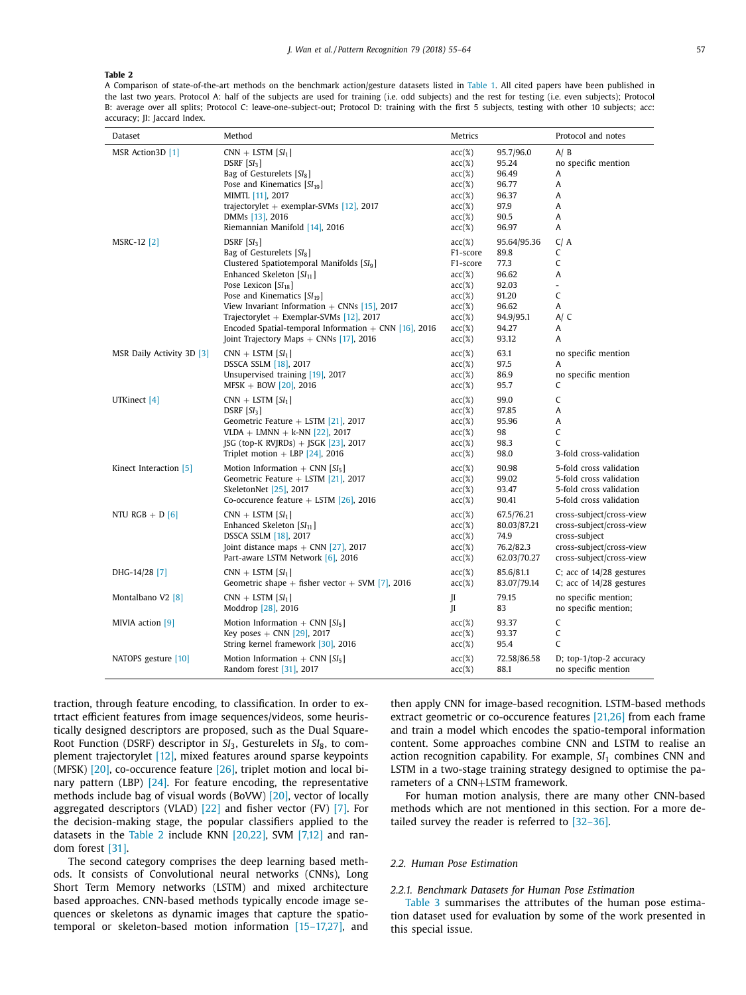A Comparison of state-of-the-art methods on the benchmark action/gesture datasets listed in Table 1. All cited papers have been published in the last two years. Protocol A: half of the subjects are used for training (i.e. odd subjects) and the rest for testing (i.e. even subjects); Protocol B: average over all splits; Protocol C: leave-one-subject-out; Protocol D: training with the first 5 subjects, testing with other 10 subjects; acc: accuracy; JI: Jaccard Index.

| Dataset                   | Method                                                  | Metrics      |             | Protocol and notes             |
|---------------------------|---------------------------------------------------------|--------------|-------------|--------------------------------|
| MSR Action3D [1]          | $CNN + LSTM [SI1]$                                      | $acc(\%)$    | 95.7/96.0   | A/B                            |
|                           | $DSRF[SI_3]$                                            | $acc(\%)$    | 95.24       | no specific mention            |
|                           | Bag of Gesturelets $[SI_8]$                             | $acc(\%)$    | 96.49       | A                              |
|                           | Pose and Kinematics $[SI_{19}]$                         | $acc(\%)$    | 96.77       | A                              |
|                           | MIMTL [11], 2017                                        | $acc(\%)$    | 96.37       | A                              |
|                           | trajectorylet + exemplar-SVMs $[12]$ , 2017             | $acc(\%)$    | 97.9        | A                              |
|                           | DMMs [13], 2016                                         | $acc(\%)$    | 90.5        | A                              |
|                           | Riemannian Manifold [14], 2016                          | $acc(\%)$    | 96.97       | A                              |
| MSRC-12 [2]               | $DSRF$ $[SI_3]$                                         | $acc(\%)$    | 95.64/95.36 | C/A                            |
|                           | Bag of Gesturelets $[SI_8]$                             | F1-score     | 89.8        | C                              |
|                           | Clustered Spatiotemporal Manifolds [SI <sub>9</sub> ]   | F1-score     | 77.3        | $\mathsf C$                    |
|                           | Enhanced Skeleton $[SI_{11}]$                           | $acc(\%)$    | 96.62       | A                              |
|                           | Pose Lexicon $[SI_{18}]$                                | $acc(\%)$    | 92.03       | $\overline{a}$                 |
|                           | Pose and Kinematics $[SI_{19}]$                         | $acc(\%)$    | 91.20       | $\mathsf C$                    |
|                           | View Invariant Information $+$ CNNs [15], 2017          | $acc(\%)$    | 96.62       | A                              |
|                           | Trajectorylet + Exemplar-SVMs $[12]$ , 2017             | $acc(\%)$    | 94.9/95.1   | A/C                            |
|                           | Encoded Spatial-temporal Information $+$ CNN [16], 2016 | $acc(\%)$    | 94.27       | A                              |
|                           | Joint Trajectory Maps $+$ CNNs [17], 2016               | $acc(\%)$    | 93.12       | A                              |
| MSR Daily Activity 3D [3] | $CNN + LSTM [SI1]$                                      | $acc(\%)$    | 63.1        | no specific mention            |
|                           | DSSCA SSLM [18], 2017                                   | $acc(\%)$    | 97.5        | A                              |
|                           | Unsupervised training [19], 2017                        | $acc(\%)$    | 86.9        | no specific mention            |
|                           | $MFSK + BOW [20]$ , 2016                                | $acc(\%)$    | 95.7        | C                              |
| UTKinect [4]              | $CNN + LSTM [SI1]$                                      | $acc(\%)$    | 99.0        | C                              |
|                           | $DSRF$ $[SI_3]$                                         | $acc(\%)$    | 97.85       | A                              |
|                           | Geometric Feature $+$ LSTM [21], 2017                   | $acc(\%)$    | 95.96       | A                              |
|                           | $VLDA + LMNN + k-NN [22]$ , 2017                        | $acc(\%)$    | 98          | $\mathsf C$                    |
|                           | JSG (top-K RVJRDs) + JSGK [23], 2017                    | $acc(\%)$    | 98.3        | $\mathsf{C}$                   |
|                           | Triplet motion + LBP $[24]$ , 2016                      | $acc(\%)$    | 98.0        | 3-fold cross-validation        |
| Kinect Interaction [5]    | Motion Information + CNN $[SI_5]$                       | $acc(\%)$    | 90.98       | 5-fold cross validation        |
|                           | Geometric Feature + LSTM $[21]$ , 2017                  | $acc(\%)$    | 99.02       | 5-fold cross validation        |
|                           | SkeletonNet [25], 2017                                  | $acc(\%)$    | 93.47       | 5-fold cross validation        |
|                           | Co-occurence feature $+$ LSTM [26], 2016                | $acc(\%)$    | 90.41       | 5-fold cross validation        |
| NTU RGB $+$ D [6]         | $CNN + LSTM [SI1]$                                      | $acc(\%)$    | 67.5/76.21  | cross-subject/cross-view       |
|                           | Enhanced Skeleton $[SI_{11}]$                           | $acc(\%)$    | 80.03/87.21 | cross-subject/cross-view       |
|                           | DSSCA SSLM [18], 2017                                   | $acc(\%)$    | 74.9        | cross-subject                  |
|                           | Joint distance maps $+$ CNN [27], 2017                  | $acc(\%)$    | 76.2/82.3   | cross-subject/cross-view       |
|                           | Part-aware LSTM Network [6], 2016                       | $acc(\%)$    | 62.03/70.27 | cross-subject/cross-view       |
| DHG-14/28 [7]             | $CNN + LSTM [SI1]$                                      | $acc(\%)$    | 85.6/81.1   | C; acc of $14/28$ gestures     |
|                           | Geometric shape + fisher vector + SVM [7], 2016         | $acc(\%)$    | 83.07/79.14 | C; acc of $14/28$ gestures     |
| Montalbano V2 [8]         | $CNN + LSTM [SI1]$                                      | H            | 79.15       | no specific mention;           |
|                           | Moddrop [28], 2016                                      | $\mathbf{I}$ | 83          | no specific mention;           |
| MIVIA action [9]          | Motion Information + CNN $[SI_5]$                       | $acc(\%)$    | 93.37       | C                              |
|                           | Key poses $+$ CNN [29], 2017                            | $acc(\%)$    | 93.37       | C                              |
|                           | String kernel framework [30], 2016                      | $acc(\%)$    | 95.4        | C                              |
| NATOPS gesture [10]       | Motion Information + CNN $[SI_5]$                       | $acc(\%)$    | 72.58/86.58 | D; top- $1$ /top- $2$ accuracy |
|                           | Random forest [31], 2017                                | $acc(\%)$    | 88.1        | no specific mention            |

traction, through feature encoding, to classification. In order to extrtact efficient features from image sequences/videos, some heuristically designed descriptors are proposed, such as the Dual Square-Root Function (DSRF) descriptor in *SI*3, Gesturelets in *SI*8, to complement trajectorylet [12], mixed features around sparse keypoints (MFSK) [20], co-occurence feature [26], triplet motion and local binary pattern (LBP) [24]. For feature encoding, the representative methods include bag of visual words (BoVW) [20], vector of locally aggregated descriptors (VLAD)  $[22]$  and fisher vector (FV)  $[7]$ . For the decision-making stage, the popular classifiers applied to the datasets in the Table 2 include KNN [20,22], SVM [7,12] and random forest [31].

The second category comprises the deep learning based methods. It consists of Convolutional neural networks (CNNs), Long Short Term Memory networks (LSTM) and mixed architecture based approaches. CNN-based methods typically encode image sequences or skeletons as dynamic images that capture the spatiotemporal or skeleton-based motion information [15–17,27], and then apply CNN for image-based recognition. LSTM-based methods extract geometric or co-occurence features [21,26] from each frame and train a model which encodes the spatio-temporal information content. Some approaches combine CNN and LSTM to realise an action recognition capability. For example, SI<sub>1</sub> combines CNN and LSTM in a two-stage training strategy designed to optimise the parameters of a CNN+LSTM framework.

For human motion analysis, there are many other CNN-based methods which are not mentioned in this section. For a more detailed survey the reader is referred to [32–36].

## *2.2. Human Pose Estimation*

# *2.2.1. Benchmark Datasets for Human Pose Estimation*

Table 3 summarises the attributes of the human pose estimation dataset used for evaluation by some of the work presented in this special issue.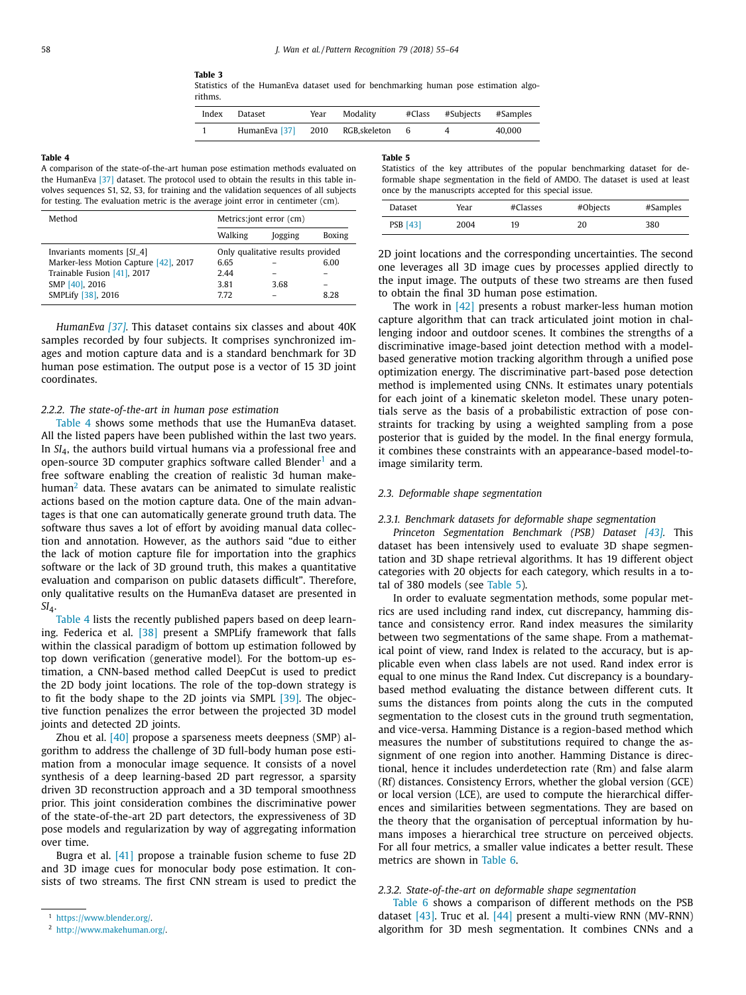**Table 3**

Statistics of the HumanEva dataset used for benchmarking human pose estimation algorithms.

| Index | Dataset                           | Year | Modality | #Class #Subjects #Samples |        |
|-------|-----------------------------------|------|----------|---------------------------|--------|
|       | HumanEva [37] 2010 RGB.skeleton 6 |      |          |                           | 40,000 |

A comparison of the state-of-the-art human pose estimation methods evaluated on the HumanEva [37] dataset. The protocol used to obtain the results in this table involves sequences S1, S2, S3, for training and the validation sequences of all subjects for testing. The evaluation metric is the average joint error in centimeter (cm).

| Method                                | Metrics:jont error (cm) |                                   |        |  |  |  |
|---------------------------------------|-------------------------|-----------------------------------|--------|--|--|--|
|                                       | Walking                 | Jogging                           | Boxing |  |  |  |
| Invariants moments [SI_4]             |                         | Only qualitative results provided |        |  |  |  |
| Marker-less Motion Capture [42], 2017 | 6.65                    |                                   | 6.00   |  |  |  |
| Trainable Fusion [41], 2017           | 2.44                    |                                   |        |  |  |  |
| SMP [40], 2016                        | 3.81                    | 3.68                              |        |  |  |  |
| SMPLify [38], 2016                    | 7.72                    |                                   | 828    |  |  |  |

*HumanEva [37].* This dataset contains six classes and about 40K samples recorded by four subjects. It comprises synchronized images and motion capture data and is a standard benchmark for 3D human pose estimation. The output pose is a vector of 15 3D joint coordinates.

#### *2.2.2. The state-of-the-art in human pose estimation*

Table 4 shows some methods that use the HumanEva dataset. All the listed papers have been published within the last two years. In *SI*4, the authors build virtual humans via a professional free and open-source 3D computer graphics software called Blender<sup>1</sup> and a free software enabling the creation of realistic 3d human makehuman<sup>2</sup> data. These avatars can be animated to simulate realistic actions based on the motion capture data. One of the main advantages is that one can automatically generate ground truth data. The software thus saves a lot of effort by avoiding manual data collection and annotation. However, as the authors said "due to either the lack of motion capture file for importation into the graphics software or the lack of 3D ground truth, this makes a quantitative evaluation and comparison on public datasets difficult". Therefore, only qualitative results on the HumanEva dataset are presented in *SI*4.

Table 4 lists the recently published papers based on deep learning. Federica et al. [38] present a SMPLify framework that falls within the classical paradigm of bottom up estimation followed by top down verification (generative model). For the bottom-up estimation, a CNN-based method called DeepCut is used to predict the 2D body joint locations. The role of the top-down strategy is to fit the body shape to the 2D joints via SMPL [39]. The objective function penalizes the error between the projected 3D model joints and detected 2D joints.

Zhou et al. [40] propose a sparseness meets deepness (SMP) algorithm to address the challenge of 3D full-body human pose estimation from a monocular image sequence. It consists of a novel synthesis of a deep learning-based 2D part regressor, a sparsity driven 3D reconstruction approach and a 3D temporal smoothness prior. This joint consideration combines the discriminative power of the state-of-the-art 2D part detectors, the expressiveness of 3D pose models and regularization by way of aggregating information over time.

Bugra et al. [41] propose a trainable fusion scheme to fuse 2D and 3D image cues for monocular body pose estimation. It consists of two streams. The first CNN stream is used to predict the **Table 5**

Statistics of the key attributes of the popular benchmarking dataset for deformable shape segmentation in the field of AMDO. The dataset is used at least once by the manuscripts accepted for this special issue.

| Dataset         | Year | #Classes | #Objects | #Samples |
|-----------------|------|----------|----------|----------|
| <b>PSB</b> [43] | 2004 | 19       | 20       | 380      |

2D joint locations and the corresponding uncertainties. The second one leverages all 3D image cues by processes applied directly to the input image. The outputs of these two streams are then fused to obtain the final 3D human pose estimation.

The work in  $\left[42\right]$  presents a robust marker-less human motion capture algorithm that can track articulated joint motion in challenging indoor and outdoor scenes. It combines the strengths of a discriminative image-based joint detection method with a modelbased generative motion tracking algorithm through a unified pose optimization energy. The discriminative part-based pose detection method is implemented using CNNs. It estimates unary potentials for each joint of a kinematic skeleton model. These unary potentials serve as the basis of a probabilistic extraction of pose constraints for tracking by using a weighted sampling from a pose posterior that is guided by the model. In the final energy formula, it combines these constraints with an appearance-based model-toimage similarity term.

## *2.3. Deformable shape segmentation*

#### *2.3.1. Benchmark datasets for deformable shape segmentation*

*Princeton Segmentation Benchmark (PSB) Dataset [43].* This dataset has been intensively used to evaluate 3D shape segmentation and 3D shape retrieval algorithms. It has 19 different object categories with 20 objects for each category, which results in a total of 380 models (see Table 5).

In order to evaluate segmentation methods, some popular metrics are used including rand index, cut discrepancy, hamming distance and consistency error. Rand index measures the similarity between two segmentations of the same shape. From a mathematical point of view, rand Index is related to the accuracy, but is applicable even when class labels are not used. Rand index error is equal to one minus the Rand Index. Cut discrepancy is a boundarybased method evaluating the distance between different cuts. It sums the distances from points along the cuts in the computed segmentation to the closest cuts in the ground truth segmentation, and vice-versa. Hamming Distance is a region-based method which measures the number of substitutions required to change the assignment of one region into another. Hamming Distance is directional, hence it includes underdetection rate (Rm) and false alarm (Rf) distances. Consistency Errors, whether the global version (GCE) or local version (LCE), are used to compute the hierarchical differences and similarities between segmentations. They are based on the theory that the organisation of perceptual information by humans imposes a hierarchical tree structure on perceived objects. For all four metrics, a smaller value indicates a better result. These metrics are shown in Table 6.

#### *2.3.2. State-of-the-art on deformable shape segmentation*

Table 6 shows a comparison of different methods on the PSB dataset [43]. Truc et al. [44] present a multi-view RNN (MV-RNN) algorithm for 3D mesh segmentation. It combines CNNs and a

<sup>1</sup> https://www.blender.org/.

<sup>2</sup> http://www.makehuman.org/.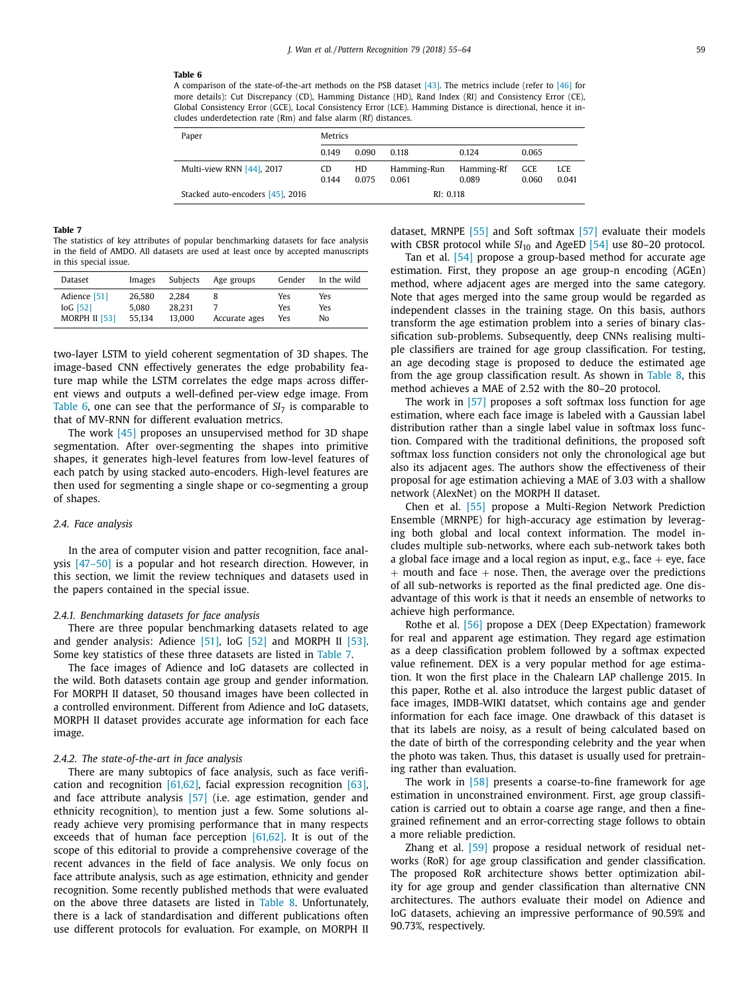A comparison of the state-of-the-art methods on the PSB dataset [43]. The metrics include (refer to [46] for more details): Cut Discrepancy (CD), Hamming Distance (HD), Rand Index (RI) and Consistency Error (CE), Global Consistency Error (GCE), Local Consistency Error (LCE). Hamming Distance is directional, hence it includes underdetection rate (Rm) and false alarm (Rf) distances.

| Paper                            | <b>Metrics</b> |             |                      |                     |              |              |  |  |
|----------------------------------|----------------|-------------|----------------------|---------------------|--------------|--------------|--|--|
|                                  | 0.149          | 0.090       | 0.118                | 0.124               | 0.065        |              |  |  |
| Multi-view RNN [44], 2017        | CD<br>0.144    | HD<br>0.075 | Hamming-Run<br>0.061 | Hamming-Rf<br>0.089 | GCE<br>0.060 | LCE<br>0.041 |  |  |
| Stacked auto-encoders [45], 2016 |                |             | RI: 0.118            |                     |              |              |  |  |

#### **Table 7**

The statistics of key attributes of popular benchmarking datasets for face analysis in the field of AMDO. All datasets are used at least once by accepted manuscripts in this special issue.

| Dataset       | Images | Subjects | Age groups    | Gender | In the wild |
|---------------|--------|----------|---------------|--------|-------------|
| Adience [51]  | 26.580 | 2.284    | Accurate ages | Yes    | Yes         |
| $IoG$ [52]    | 5.080  | 28.231   |               | Yes    | Yes         |
| MORPH II [53] | 55.134 | 13.000   |               | Yes    | No          |

two-layer LSTM to yield coherent segmentation of 3D shapes. The image-based CNN effectively generates the edge probability feature map while the LSTM correlates the edge maps across different views and outputs a well-defined per-view edge image. From Table 6, one can see that the performance of *SI*<sup>7</sup> is comparable to that of MV-RNN for different evaluation metrics.

The work [45] proposes an unsupervised method for 3D shape segmentation. After over-segmenting the shapes into primitive shapes, it generates high-level features from low-level features of each patch by using stacked auto-encoders. High-level features are then used for segmenting a single shape or co-segmenting a group of shapes.

#### *2.4. Face analysis*

In the area of computer vision and patter recognition, face analysis [47–50] is a popular and hot research direction. However, in this section, we limit the review techniques and datasets used in the papers contained in the special issue.

#### *2.4.1. Benchmarking datasets for face analysis*

There are three popular benchmarking datasets related to age and gender analysis: Adience [51], IoG [52] and MORPH II [53]. Some key statistics of these three datasets are listed in Table 7.

The face images of Adience and IoG datasets are collected in the wild. Both datasets contain age group and gender information. For MORPH II dataset, 50 thousand images have been collected in a controlled environment. Different from Adience and IoG datasets, MORPH II dataset provides accurate age information for each face image.

#### *2.4.2. The state-of-the-art in face analysis*

There are many subtopics of face analysis, such as face verification and recognition [61,62], facial expression recognition [63], and face attribute analysis [57] (i.e. age estimation, gender and ethnicity recognition), to mention just a few. Some solutions already achieve very promising performance that in many respects exceeds that of human face perception [61,62]. It is out of the scope of this editorial to provide a comprehensive coverage of the recent advances in the field of face analysis. We only focus on face attribute analysis, such as age estimation, ethnicity and gender recognition. Some recently published methods that were evaluated on the above three datasets are listed in Table 8. Unfortunately, there is a lack of standardisation and different publications often use different protocols for evaluation. For example, on MORPH II dataset, MRNPE [55] and Soft softmax [57] evaluate their models with CBSR protocol while  $SI_{10}$  and AgeED [54] use 80-20 protocol.

Tan et al. [54] propose a group-based method for accurate age estimation. First, they propose an age group-n encoding (AGEn) method, where adjacent ages are merged into the same category. Note that ages merged into the same group would be regarded as independent classes in the training stage. On this basis, authors transform the age estimation problem into a series of binary classification sub-problems. Subsequently, deep CNNs realising multiple classifiers are trained for age group classification. For testing, an age decoding stage is proposed to deduce the estimated age from the age group classification result. As shown in Table 8, this method achieves a MAE of 2.52 with the 80–20 protocol.

The work in [57] proposes a soft softmax loss function for age estimation, where each face image is labeled with a Gaussian label distribution rather than a single label value in softmax loss function. Compared with the traditional definitions, the proposed soft softmax loss function considers not only the chronological age but also its adjacent ages. The authors show the effectiveness of their proposal for age estimation achieving a MAE of 3.03 with a shallow network (AlexNet) on the MORPH II dataset.

Chen et al. [55] propose a Multi-Region Network Prediction Ensemble (MRNPE) for high-accuracy age estimation by leveraging both global and local context information. The model includes multiple sub-networks, where each sub-network takes both a global face image and a local region as input, e.g., face  $+$  eye, face  $+$  mouth and face  $+$  nose. Then, the average over the predictions of all sub-networks is reported as the final predicted age. One disadvantage of this work is that it needs an ensemble of networks to achieve high performance.

Rothe et al. [56] propose a DEX (Deep EXpectation) framework for real and apparent age estimation. They regard age estimation as a deep classification problem followed by a softmax expected value refinement. DEX is a very popular method for age estimation. It won the first place in the Chalearn LAP challenge 2015. In this paper, Rothe et al. also introduce the largest public dataset of face images, IMDB-WIKI datatset, which contains age and gender information for each face image. One drawback of this dataset is that its labels are noisy, as a result of being calculated based on the date of birth of the corresponding celebrity and the year when the photo was taken. Thus, this dataset is usually used for pretraining rather than evaluation.

The work in [58] presents a coarse-to-fine framework for age estimation in unconstrained environment. First, age group classification is carried out to obtain a coarse age range, and then a finegrained refinement and an error-correcting stage follows to obtain a more reliable prediction.

Zhang et al. [59] propose a residual network of residual networks (RoR) for age group classification and gender classification. The proposed RoR architecture shows better optimization ability for age group and gender classification than alternative CNN architectures. The authors evaluate their model on Adience and IoG datasets, achieving an impressive performance of 90.59% and 90.73%, respectively.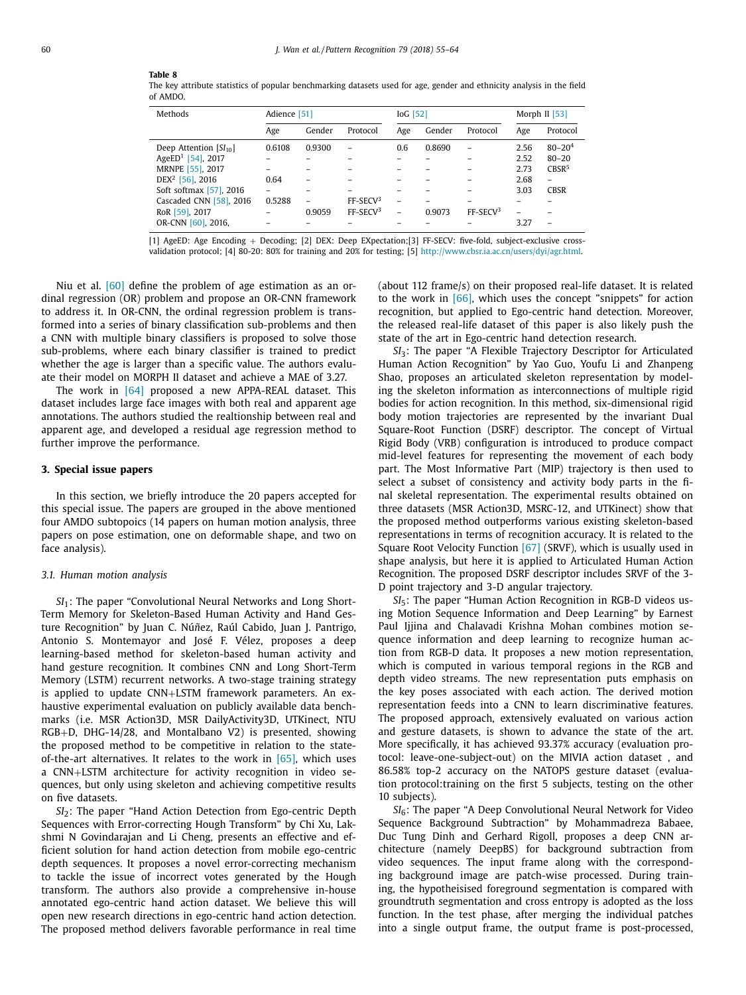The key attribute statistics of popular benchmarking datasets used for age, gender and ethnicity analysis in the field of AMDO.

| Methods                       | Adience [51]             |        |                      | $IoG$ [52]               |        | Morph II $[53]$      |      |                          |
|-------------------------------|--------------------------|--------|----------------------|--------------------------|--------|----------------------|------|--------------------------|
|                               | Age                      | Gender | Protocol             | Age                      | Gender | Protocol             | Age  | Protocol                 |
| Deep Attention $[SI_{10}]$    | 0.6108                   | 0.9300 | ۰                    | 0.6                      | 0.8690 |                      | 2.56 | $80 - 204$               |
| AgeED <sup>1</sup> [54], 2017 |                          |        |                      |                          |        |                      | 2.52 | $80 - 20$                |
| MRNPE [55], 2017              |                          |        |                      |                          |        |                      | 2.73 | CRSR <sup>5</sup>        |
| DEX <sup>2</sup> [56], 2016   | 0.64                     |        |                      |                          |        |                      | 2.68 | $\overline{\phantom{0}}$ |
| Soft softmax [57], 2016       | $\overline{\phantom{0}}$ |        |                      |                          |        |                      | 3.03 | <b>CBSR</b>              |
| Cascaded CNN [58], 2016       | 0.5288                   |        | FF-SECV3             | -                        |        |                      |      |                          |
| RoR [59], 2017                |                          | 0.9059 | FF-SECV <sup>3</sup> | $\overline{\phantom{a}}$ | 0.9073 | FF-SECV <sup>3</sup> |      |                          |
| OR-CNN [60], 2016,            |                          |        |                      |                          |        |                      | 3.27 |                          |

[1] AgeED: Age Encoding + Decoding; [2] DEX: Deep EXpectation;[3] FF-SECV: five-fold, subject-exclusive crossvalidation protocol; [4] 80-20: 80% for training and 20% for testing; [5] http://www.cbsr.ia.ac.cn/users/dyi/agr.html.

Niu et al. [60] define the problem of age estimation as an ordinal regression (OR) problem and propose an OR-CNN framework to address it. In OR-CNN, the ordinal regression problem is transformed into a series of binary classification sub-problems and then a CNN with multiple binary classifiers is proposed to solve those sub-problems, where each binary classifier is trained to predict whether the age is larger than a specific value. The authors evaluate their model on MORPH II dataset and achieve a MAE of 3.27.

The work in [64] proposed a new APPA-REAL dataset. This dataset includes large face images with both real and apparent age annotations. The authors studied the realtionship between real and apparent age, and developed a residual age regression method to further improve the performance.

# **3. Special issue papers**

In this section, we briefly introduce the 20 papers accepted for this special issue. The papers are grouped in the above mentioned four AMDO subtopoics (14 papers on human motion analysis, three papers on pose estimation, one on deformable shape, and two on face analysis).

## *3.1. Human motion analysis*

*SI*1: The paper "Convolutional Neural Networks and Long Short-Term Memory for Skeleton-Based Human Activity and Hand Gesture Recognition" by Juan C. Núñez, Raúl Cabido, Juan J. Pantrigo, Antonio S. Montemayor and José F. Vélez, proposes a deep learning-based method for skeleton-based human activity and hand gesture recognition. It combines CNN and Long Short-Term Memory (LSTM) recurrent networks. A two-stage training strategy is applied to update CNN+LSTM framework parameters. An exhaustive experimental evaluation on publicly available data benchmarks (i.e. MSR Action3D, MSR DailyActivity3D, UTKinect, NTU RGB+D, DHG-14/28, and Montalbano V2) is presented, showing the proposed method to be competitive in relation to the stateof-the-art alternatives. It relates to the work in  $[65]$ , which uses a CNN+LSTM architecture for activity recognition in video sequences, but only using skeleton and achieving competitive results on five datasets.

*SI*2: The paper "Hand Action Detection from Ego-centric Depth Sequences with Error-correcting Hough Transform" by Chi Xu, Lakshmi N Govindarajan and Li Cheng, presents an effective and efficient solution for hand action detection from mobile ego-centric depth sequences. It proposes a novel error-correcting mechanism to tackle the issue of incorrect votes generated by the Hough transform. The authors also provide a comprehensive in-house annotated ego-centric hand action dataset. We believe this will open new research directions in ego-centric hand action detection. The proposed method delivers favorable performance in real time (about 112 frame/s) on their proposed real-life dataset. It is related to the work in [66], which uses the concept "snippets" for action recognition, but applied to Ego-centric hand detection. Moreover, the released real-life dataset of this paper is also likely push the state of the art in Ego-centric hand detection research.

*SI*3: The paper "A Flexible Trajectory Descriptor for Articulated Human Action Recognition" by Yao Guo, Youfu Li and Zhanpeng Shao, proposes an articulated skeleton representation by modeling the skeleton information as interconnections of multiple rigid bodies for action recognition. In this method, six-dimensional rigid body motion trajectories are represented by the invariant Dual Square-Root Function (DSRF) descriptor. The concept of Virtual Rigid Body (VRB) configuration is introduced to produce compact mid-level features for representing the movement of each body part. The Most Informative Part (MIP) trajectory is then used to select a subset of consistency and activity body parts in the final skeletal representation. The experimental results obtained on three datasets (MSR Action3D, MSRC-12, and UTKinect) show that the proposed method outperforms various existing skeleton-based representations in terms of recognition accuracy. It is related to the Square Root Velocity Function [67] (SRVF), which is usually used in shape analysis, but here it is applied to Articulated Human Action Recognition. The proposed DSRF descriptor includes SRVF of the 3- D point trajectory and 3-D angular trajectory.

*SI*5: The paper "Human Action Recognition in RGB-D videos using Motion Sequence Information and Deep Learning" by Earnest Paul Ijjina and Chalavadi Krishna Mohan combines motion sequence information and deep learning to recognize human action from RGB-D data. It proposes a new motion representation, which is computed in various temporal regions in the RGB and depth video streams. The new representation puts emphasis on the key poses associated with each action. The derived motion representation feeds into a CNN to learn discriminative features. The proposed approach, extensively evaluated on various action and gesture datasets, is shown to advance the state of the art. More specifically, it has achieved 93.37% accuracy (evaluation protocol: leave-one-subject-out) on the MIVIA action dataset , and 86.58% top-2 accuracy on the NATOPS gesture dataset (evaluation protocol:training on the first 5 subjects, testing on the other 10 subjects).

*SI*6: The paper "A Deep Convolutional Neural Network for Video Sequence Background Subtraction" by Mohammadreza Babaee, Duc Tung Dinh and Gerhard Rigoll, proposes a deep CNN architecture (namely DeepBS) for background subtraction from video sequences. The input frame along with the corresponding background image are patch-wise processed. During training, the hypotheisised foreground segmentation is compared with groundtruth segmentation and cross entropy is adopted as the loss function. In the test phase, after merging the individual patches into a single output frame, the output frame is post-processed,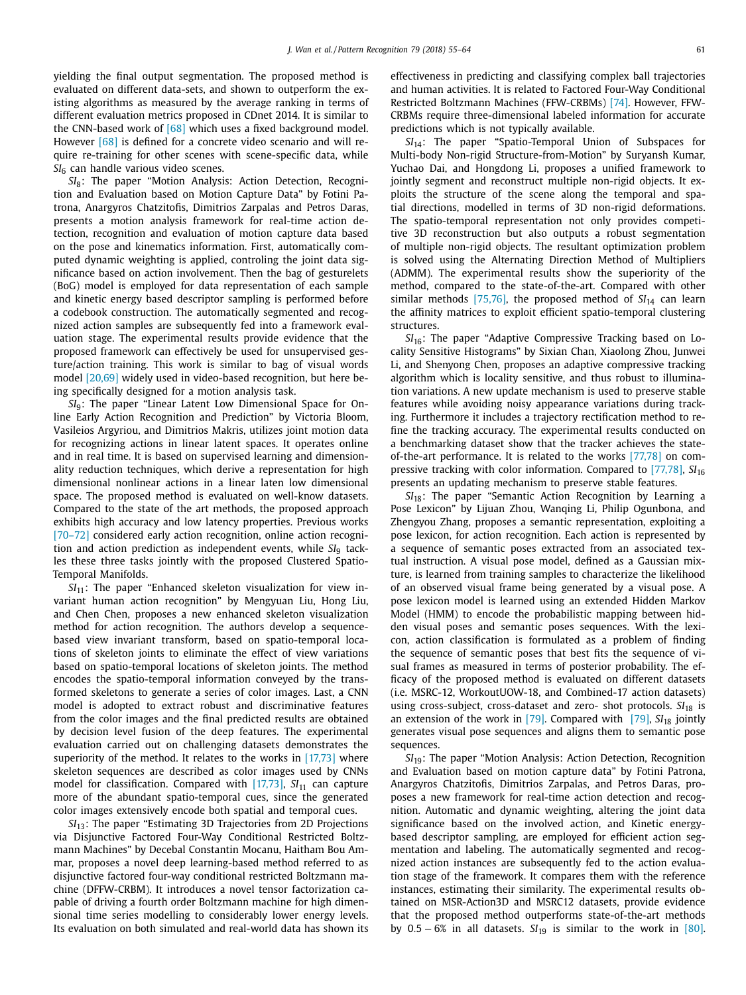yielding the final output segmentation. The proposed method is evaluated on different data-sets, and shown to outperform the existing algorithms as measured by the average ranking in terms of different evaluation metrics proposed in CDnet 2014. It is similar to the CNN-based work of [68] which uses a fixed background model. However [68] is defined for a concrete video scenario and will require re-training for other scenes with scene-specific data, while *SI*<sup>6</sup> can handle various video scenes.

*SI*8: The paper "Motion Analysis: Action Detection, Recognition and Evaluation based on Motion Capture Data" by Fotini Patrona, Anargyros Chatzitofis, Dimitrios Zarpalas and Petros Daras, presents a motion analysis framework for real-time action detection, recognition and evaluation of motion capture data based on the pose and kinematics information. First, automatically computed dynamic weighting is applied, controling the joint data significance based on action involvement. Then the bag of gesturelets (BoG) model is employed for data representation of each sample and kinetic energy based descriptor sampling is performed before a codebook construction. The automatically segmented and recognized action samples are subsequently fed into a framework evaluation stage. The experimental results provide evidence that the proposed framework can effectively be used for unsupervised gesture/action training. This work is similar to bag of visual words model [20,69] widely used in video-based recognition, but here being specifically designed for a motion analysis task.

*SI*9: The paper "Linear Latent Low Dimensional Space for Online Early Action Recognition and Prediction" by Victoria Bloom, Vasileios Argyriou, and Dimitrios Makris, utilizes joint motion data for recognizing actions in linear latent spaces. It operates online and in real time. It is based on supervised learning and dimensionality reduction techniques, which derive a representation for high dimensional nonlinear actions in a linear laten low dimensional space. The proposed method is evaluated on well-know datasets. Compared to the state of the art methods, the proposed approach exhibits high accuracy and low latency properties. Previous works [70–72] considered early action recognition, online action recognition and action prediction as independent events, while SI<sub>9</sub> tackles these three tasks jointly with the proposed Clustered Spatio-Temporal Manifolds.

*SI*<sub>11</sub>: The paper "Enhanced skeleton visualization for view invariant human action recognition" by Mengyuan Liu, Hong Liu, and Chen Chen, proposes a new enhanced skeleton visualization method for action recognition. The authors develop a sequencebased view invariant transform, based on spatio-temporal locations of skeleton joints to eliminate the effect of view variations based on spatio-temporal locations of skeleton joints. The method encodes the spatio-temporal information conveyed by the transformed skeletons to generate a series of color images. Last, a CNN model is adopted to extract robust and discriminative features from the color images and the final predicted results are obtained by decision level fusion of the deep features. The experimental evaluation carried out on challenging datasets demonstrates the superiority of the method. It relates to the works in [17,73] where skeleton sequences are described as color images used by CNNs model for classification. Compared with [17,73], SI<sub>11</sub> can capture more of the abundant spatio-temporal cues, since the generated color images extensively encode both spatial and temporal cues.

*SI*<sub>13</sub>: The paper "Estimating 3D Trajectories from 2D Projections via Disjunctive Factored Four-Way Conditional Restricted Boltzmann Machines" by Decebal Constantin Mocanu, Haitham Bou Ammar, proposes a novel deep learning-based method referred to as disjunctive factored four-way conditional restricted Boltzmann machine (DFFW-CRBM). It introduces a novel tensor factorization capable of driving a fourth order Boltzmann machine for high dimensional time series modelling to considerably lower energy levels. Its evaluation on both simulated and real-world data has shown its effectiveness in predicting and classifying complex ball trajectories and human activities. It is related to Factored Four-Way Conditional Restricted Boltzmann Machines (FFW-CRBMs) [74]. However, FFW-CRBMs require three-dimensional labeled information for accurate predictions which is not typically available.

*SI*14: The paper "Spatio-Temporal Union of Subspaces for Multi-body Non-rigid Structure-from-Motion" by Suryansh Kumar, Yuchao Dai, and Hongdong Li, proposes a unified framework to jointly segment and reconstruct multiple non-rigid objects. It exploits the structure of the scene along the temporal and spatial directions, modelled in terms of 3D non-rigid deformations. The spatio-temporal representation not only provides competitive 3D reconstruction but also outputs a robust segmentation of multiple non-rigid objects. The resultant optimization problem is solved using the Alternating Direction Method of Multipliers (ADMM). The experimental results show the superiority of the method, compared to the state-of-the-art. Compared with other similar methods [75,76], the proposed method of  $SI<sub>14</sub>$  can learn the affinity matrices to exploit efficient spatio-temporal clustering structures.

*SI*16: The paper "Adaptive Compressive Tracking based on Locality Sensitive Histograms" by Sixian Chan, Xiaolong Zhou, Junwei Li, and Shenyong Chen, proposes an adaptive compressive tracking algorithm which is locality sensitive, and thus robust to illumination variations. A new update mechanism is used to preserve stable features while avoiding noisy appearance variations during tracking. Furthermore it includes a trajectory rectification method to refine the tracking accuracy. The experimental results conducted on a benchmarking dataset show that the tracker achieves the stateof-the-art performance. It is related to the works [77,78] on compressive tracking with color information. Compared to [77,78], *SI*<sup>16</sup> presents an updating mechanism to preserve stable features.

*SI*<sub>18</sub>: The paper "Semantic Action Recognition by Learning a Pose Lexicon" by Lijuan Zhou, Wanqing Li, Philip Ogunbona, and Zhengyou Zhang, proposes a semantic representation, exploiting a pose lexicon, for action recognition. Each action is represented by a sequence of semantic poses extracted from an associated textual instruction. A visual pose model, defined as a Gaussian mixture, is learned from training samples to characterize the likelihood of an observed visual frame being generated by a visual pose. A pose lexicon model is learned using an extended Hidden Markov Model (HMM) to encode the probabilistic mapping between hidden visual poses and semantic poses sequences. With the lexicon, action classification is formulated as a problem of finding the sequence of semantic poses that best fits the sequence of visual frames as measured in terms of posterior probability. The efficacy of the proposed method is evaluated on different datasets (i.e. MSRC-12, WorkoutUOW-18, and Combined-17 action datasets) using cross-subject, cross-dataset and zero- shot protocols. SI<sub>18</sub> is an extension of the work in  $[79]$ . Compared with  $[79]$ ,  $SI<sub>18</sub>$  jointly generates visual pose sequences and aligns them to semantic pose sequences.

*SI*19: The paper "Motion Analysis: Action Detection, Recognition and Evaluation based on motion capture data" by Fotini Patrona, Anargyros Chatzitofis, Dimitrios Zarpalas, and Petros Daras, proposes a new framework for real-time action detection and recognition. Automatic and dynamic weighting, altering the joint data significance based on the involved action, and Kinetic energybased descriptor sampling, are employed for efficient action segmentation and labeling. The automatically segmented and recognized action instances are subsequently fed to the action evaluation stage of the framework. It compares them with the reference instances, estimating their similarity. The experimental results obtained on MSR-Action3D and MSRC12 datasets, provide evidence that the proposed method outperforms state-of-the-art methods by  $0.5 - 6\%$  in all datasets.  $SI<sub>19</sub>$  is similar to the work in [80].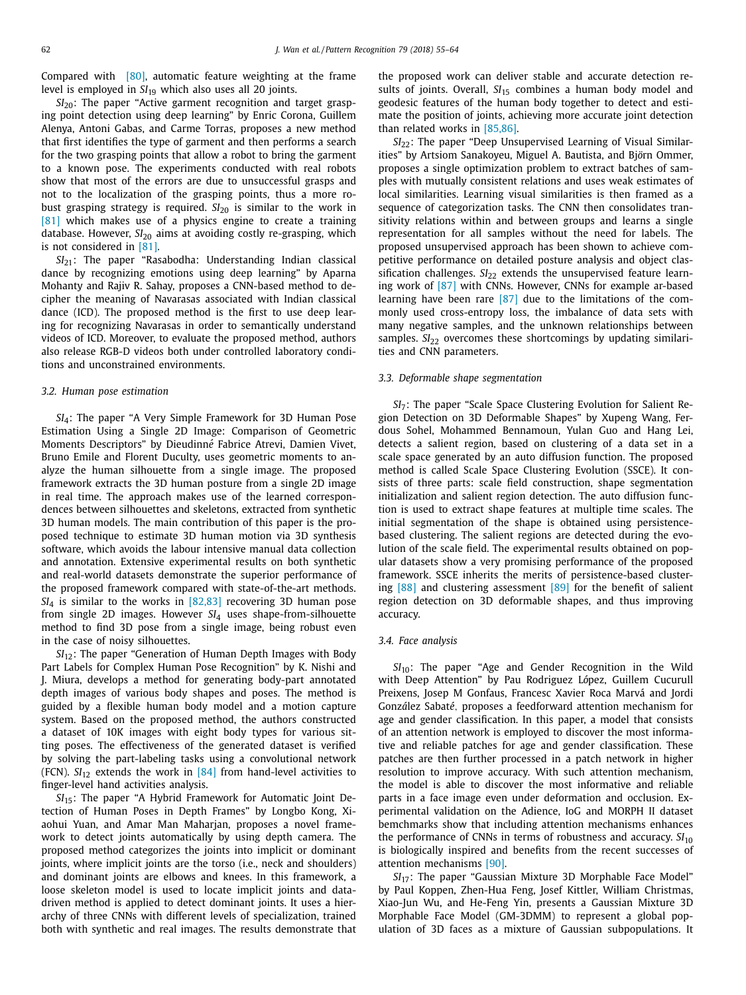Compared with [80], automatic feature weighting at the frame level is employed in *SI*<sup>19</sup> which also uses all 20 joints.

*SI*<sub>20</sub>: The paper "Active garment recognition and target grasping point detection using deep learning" by Enric Corona, Guillem Alenya, Antoni Gabas, and Carme Torras, proposes a new method that first identifies the type of garment and then performs a search for the two grasping points that allow a robot to bring the garment to a known pose. The experiments conducted with real robots show that most of the errors are due to unsuccessful grasps and not to the localization of the grasping points, thus a more robust grasping strategy is required. *SI*<sup>20</sup> is similar to the work in [81] which makes use of a physics engine to create a training database. However, *SI*<sup>20</sup> aims at avoiding costly re-grasping, which is not considered in [81].

*SI*21: The paper "Rasabodha: Understanding Indian classical dance by recognizing emotions using deep learning" by Aparna Mohanty and Rajiv R. Sahay, proposes a CNN-based method to decipher the meaning of Navarasas associated with Indian classical dance (ICD). The proposed method is the first to use deep learing for recognizing Navarasas in order to semantically understand videos of ICD. Moreover, to evaluate the proposed method, authors also release RGB-D videos both under controlled laboratory conditions and unconstrained environments.

#### *3.2. Human pose estimation*

*SI*4: The paper "A Very Simple Framework for 3D Human Pose Estimation Using a Single 2D Image: Comparison of Geometric Moments Descriptors" by Dieudinn*e*´ Fabrice Atrevi, Damien Vivet, Bruno Emile and Florent Duculty, uses geometric moments to analyze the human silhouette from a single image. The proposed framework extracts the 3D human posture from a single 2D image in real time. The approach makes use of the learned correspondences between silhouettes and skeletons, extracted from synthetic 3D human models. The main contribution of this paper is the proposed technique to estimate 3D human motion via 3D synthesis software, which avoids the labour intensive manual data collection and annotation. Extensive experimental results on both synthetic and real-world datasets demonstrate the superior performance of the proposed framework compared with state-of-the-art methods. *SI*<sub>4</sub> is similar to the works in [82,83] recovering 3D human pose from single 2D images. However *SI*<sup>4</sup> uses shape-from-silhouette method to find 3D pose from a single image, being robust even in the case of noisy silhouettes.

*SI*12: The paper "Generation of Human Depth Images with Body Part Labels for Complex Human Pose Recognition" by K. Nishi and J. Miura, develops a method for generating body-part annotated depth images of various body shapes and poses. The method is guided by a flexible human body model and a motion capture system. Based on the proposed method, the authors constructed a dataset of 10K images with eight body types for various sitting poses. The effectiveness of the generated dataset is verified by solving the part-labeling tasks using a convolutional network (FCN).  $SI_{12}$  extends the work in  $[84]$  from hand-level activities to finger-level hand activities analysis.

*SI*15: The paper "A Hybrid Framework for Automatic Joint Detection of Human Poses in Depth Frames" by Longbo Kong, Xiaohui Yuan, and Amar Man Maharjan, proposes a novel framework to detect joints automatically by using depth camera. The proposed method categorizes the joints into implicit or dominant joints, where implicit joints are the torso (i.e., neck and shoulders) and dominant joints are elbows and knees. In this framework, a loose skeleton model is used to locate implicit joints and datadriven method is applied to detect dominant joints. It uses a hierarchy of three CNNs with different levels of specialization, trained both with synthetic and real images. The results demonstrate that the proposed work can deliver stable and accurate detection results of joints. Overall, SI<sub>15</sub> combines a human body model and geodesic features of the human body together to detect and estimate the position of joints, achieving more accurate joint detection than related works in [85,86].

*SI*<sub>22</sub>: The paper "Deep Unsupervised Learning of Visual Similarities" by Artsiom Sanakoyeu, Miguel A. Bautista, and Björn Ommer, proposes a single optimization problem to extract batches of samples with mutually consistent relations and uses weak estimates of local similarities. Learning visual similarities is then framed as a sequence of categorization tasks. The CNN then consolidates transitivity relations within and between groups and learns a single representation for all samples without the need for labels. The proposed unsupervised approach has been shown to achieve competitive performance on detailed posture analysis and object classification challenges. *SI*<sub>22</sub> extends the unsupervised feature learning work of [87] with CNNs. However, CNNs for example ar-based learning have been rare [87] due to the limitations of the commonly used cross-entropy loss, the imbalance of data sets with many negative samples, and the unknown relationships between samples. *SI*<sub>22</sub> overcomes these shortcomings by updating similarities and CNN parameters.

#### *3.3. Deformable shape segmentation*

*SI*7: The paper "Scale Space Clustering Evolution for Salient Region Detection on 3D Deformable Shapes" by Xupeng Wang, Ferdous Sohel, Mohammed Bennamoun, Yulan Guo and Hang Lei, detects a salient region, based on clustering of a data set in a scale space generated by an auto diffusion function. The proposed method is called Scale Space Clustering Evolution (SSCE). It consists of three parts: scale field construction, shape segmentation initialization and salient region detection. The auto diffusion function is used to extract shape features at multiple time scales. The initial segmentation of the shape is obtained using persistencebased clustering. The salient regions are detected during the evolution of the scale field. The experimental results obtained on popular datasets show a very promising performance of the proposed framework. SSCE inherits the merits of persistence-based clustering [88] and clustering assessment [89] for the benefit of salient region detection on 3D deformable shapes, and thus improving accuracy.

# *3.4. Face analysis*

*SI*10: The paper "Age and Gender Recognition in the Wild with Deep Attention" by Pau Rodriguez López, Guillem Cucurull Preixens, Josep M Gonfaus, Francesc Xavier Roca Marvá and Jordi Gonz*a*´lez Sabat*e*´, proposes a feedforward attention mechanism for age and gender classification. In this paper, a model that consists of an attention network is employed to discover the most informative and reliable patches for age and gender classification. These patches are then further processed in a patch network in higher resolution to improve accuracy. With such attention mechanism, the model is able to discover the most informative and reliable parts in a face image even under deformation and occlusion. Experimental validation on the Adience, IoG and MORPH II dataset bemchmarks show that including attention mechanisms enhances the performance of CNNs in terms of robustness and accuracy.  $SI<sub>10</sub>$ is biologically inspired and benefits from the recent successes of attention mechanisms [90].

*SI*<sub>17</sub>: The paper "Gaussian Mixture 3D Morphable Face Model" by Paul Koppen, Zhen-Hua Feng, Josef Kittler, William Christmas, Xiao-Jun Wu, and He-Feng Yin, presents a Gaussian Mixture 3D Morphable Face Model (GM-3DMM) to represent a global population of 3D faces as a mixture of Gaussian subpopulations. It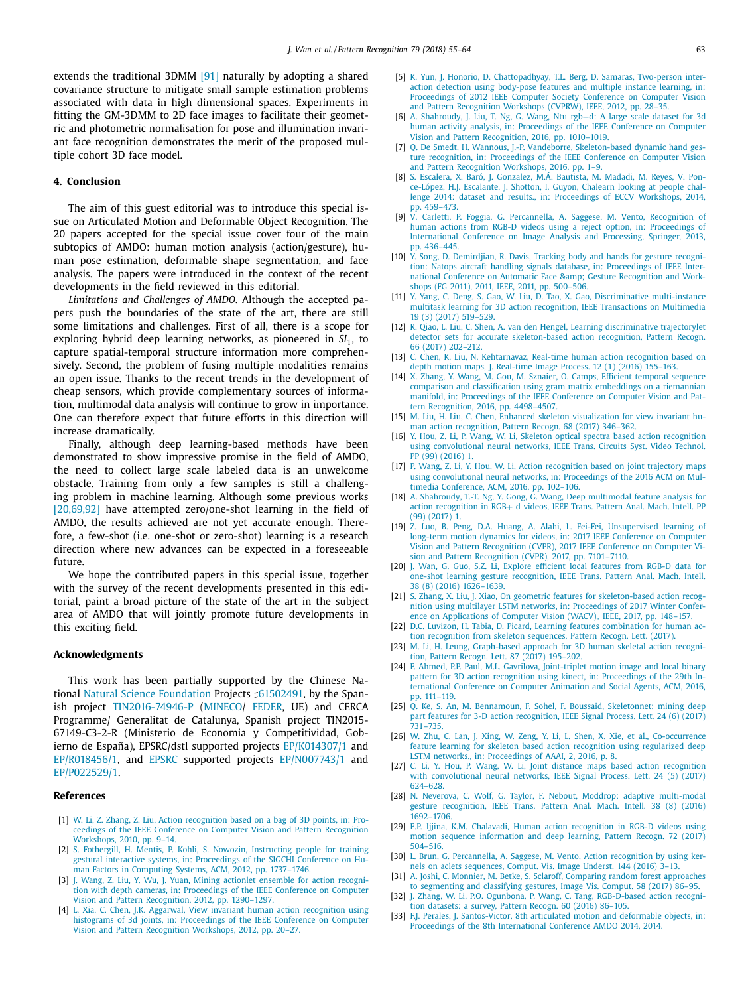extends the traditional 3DMM [91] naturally by adopting a shared covariance structure to mitigate small sample estimation problems associated with data in high dimensional spaces. Experiments in fitting the GM-3DMM to 2D face images to facilitate their geometric and photometric normalisation for pose and illumination invariant face recognition demonstrates the merit of the proposed multiple cohort 3D face model.

# **4. Conclusion**

The aim of this guest editorial was to introduce this special issue on Articulated Motion and Deformable Object Recognition. The 20 papers accepted for the special issue cover four of the main subtopics of AMDO: human motion analysis (action/gesture), human pose estimation, deformable shape segmentation, and face analysis. The papers were introduced in the context of the recent developments in the field reviewed in this editorial.

*Limitations and Challenges of AMDO.* Although the accepted papers push the boundaries of the state of the art, there are still some limitations and challenges. First of all, there is a scope for exploring hybrid deep learning networks, as pioneered in *SI*1, to capture spatial-temporal structure information more comprehensively. Second, the problem of fusing multiple modalities remains an open issue. Thanks to the recent trends in the development of cheap sensors, which provide complementary sources of information, multimodal data analysis will continue to grow in importance. One can therefore expect that future efforts in this direction will increase dramatically.

Finally, although deep learning-based methods have been demonstrated to show impressive promise in the field of AMDO, the need to collect large scale labeled data is an unwelcome obstacle. Training from only a few samples is still a challenging problem in machine learning. Although some previous works [20,69,92] have attempted zero/one-shot learning in the field of AMDO, the results achieved are not yet accurate enough. Therefore, a few-shot (i.e. one-shot or zero-shot) learning is a research direction where new advances can be expected in a foreseeable future.

We hope the contributed papers in this special issue, together with the survey of the recent developments presented in this editorial, paint a broad picture of the state of the art in the subject area of AMDO that will jointly promote future developments in this exciting field.

#### **Acknowledgments**

This work has been partially supported by the Chinese National Natural Science Foundation Projects #61502491, by the Spanish project TIN2016-74946-P (MINECO/ FEDER, UE) and CERCA Programme/ Generalitat de Catalunya, Spanish project TIN2015- 67149-C3-2-R (Ministerio de Economia y Competitividad, Gobierno de España), EPSRC/dstl supported projects EP/K014307/1 and EP/R018456/1, and EPSRC supported projects EP/N007743/1 and EP/P022529/1.

#### **References**

- [1] W. Li, Z. Zhang, Z. Liu, Action recognition based on a bag of 3D points, in: Proceedings of the IEEE Conference on Computer Vision and Pattern Recognition Workshops, 2010, pp. 9–14.
- [2] S. Fothergill, H. Mentis, P. Kohli, S. Nowozin, Instructing people for training gestural interactive systems, in: Proceedings of the SIGCHI Conference on Human Factors in Computing Systems, ACM, 2012, pp. 1737–1746.
- J. Wang, Z. Liu, Y. Wu, J. Yuan, Mining actionlet ensemble for action recognition with depth cameras, in: Proceedings of the IEEE Conference on Computer Vision and Pattern Recognition, 2012, pp. 1290–1297.
- [4] L. Xia, C. Chen, J.K. Aggarwal, View invariant human action recognition using histograms of 3d joints, in: Proceedings of the IEEE Conference on Computer Vision and Pattern Recognition Workshops, 2012, pp. 20–27.
- [5] K. Yun, J. Honorio, D. Chattopadhyay, T.L. Berg, D. Samaras, Two-person interaction detection using body-pose features and multiple instance learning, in: Proceedings of 2012 IEEE Computer Society Conference on Computer Vision and Pattern Recognition Workshops (CVPRW), IEEE, 2012, pp. 28–35.
- [6] A. Shahroudy, J. Liu, T. Ng, G. Wang, Ntu rgb+d: A large scale dataset for 3d human activity analysis, in: Proceedings of the IEEE Conference on Computer Vision and Pattern Recognition, 2016, pp. 1010–1019.
- [7] Q. De Smedt, H. Wannous, J.-P. Vandeborre, Skeleton-based dynamic hand gesture recognition, in: Proceedings of the IEEE Conference on Computer Vision and Pattern Recognition Workshops, 2016, pp. 1–9.
- [8] S. Escalera, X. Baró, J. Gonzalez, M.Á. Bautista, M. Madadi, M. Reyes, V. Ponce-López, H.J. Escalante, J. Shotton, I. Guyon, Chalearn looking at people challenge 2014: dataset and results., in: Proceedings of ECCV Workshops, 2014, pp. 459–473.
- [9] V. Carletti, P. Foggia, G. Percannella, A. Saggese, M. Vento, Recognition of human actions from RGB-D videos using a reject option, in: Proceedings of International Conference on Image Analysis and Processing, Springer, 2013, pp. 436–445.
- [10] Y. Song, D. Demirdjian, R. Davis, Tracking body and hands for gesture recognition: Natops aircraft handling signals database, in: Proceedings of IEEE International Conference on Automatic Face & amp; Gesture Recognition and Workshops (FG 2011), 2011, IEEE, 2011, pp. 500–506.
- [11] Y. Yang, C. Deng, S. Gao, W. Liu, D. Tao, X. Gao, Discriminative multi-instance multitask learning for 3D action recognition, IEEE Transactions on Multimedia 19 (3) (2017) 519–529.
- [12] R. Qiao, L. Liu, C. Shen, A. van den Hengel, Learning discriminative trajectorylet detector sets for accurate skeleton-based action recognition, Pattern Recogn. 66 (2017) 202–212.
- [13] C. Chen, K. Liu, N. Kehtarnavaz, Real-time human action recognition based on depth motion maps, J. Real-time Image Process. 12 (1) (2016) 155–163.
- [14] X. Zhang, Y. Wang, M. Gou, M. Sznaier, O. Camps, Efficient temporal sequence comparison and classification using gram matrix embeddings on a riemannian manifold, in: Proceedings of the IEEE Conference on Computer Vision and Pattern Recognition, 2016, pp. 4498–4507.
- [15] M. Liu, H. Liu, C. Chen, Enhanced skeleton visualization for view invariant human action recognition, Pattern Recogn. 68 (2017) 346–362.
- [16] Y. Hou, Z. Li, P. Wang, W. Li, Skeleton optical spectra based action recognition using convolutional neural networks, IEEE Trans. Circuits Syst. Video Technol. PP (99) (2016) 1.
- [17] P. Wang, Z. Li, Y. Hou, W. Li, Action recognition based on joint trajectory maps using convolutional neural networks, in: Proceedings of the 2016 ACM on Multimedia Conference, ACM, 2016, pp. 102–106.
- [18] A. Shahroudy, T.-T. Ng, Y. Gong, G. Wang, Deep multimodal feature analysis for action recognition in RGB+ d videos, IEEE Trans. Pattern Anal. Mach. Intell. PP (99) (2017) 1.
- [19] Z. Luo, B. Peng, D.A. Huang, A. Alahi, L. Fei-Fei, Unsupervised learning of long-term motion dynamics for videos, in: 2017 IEEE Conference on Computer Vision and Pattern Recognition (CVPR), 2017 IEEE Conference on Computer Vision and Pattern Recognition (CVPR), 2017, pp. 7101–7110.
- [20] J. Wan, G. Guo, S.Z. Li, Explore efficient local features from RGB-D data for one-shot learning gesture recognition, IEEE Trans. Pattern Anal. Mach. Intell. 38 (8) (2016) 1626–1639.
- [21] S. Zhang, X. Liu, J. Xiao, On geometric features for skeleton-based action recognition using multilayer LSTM networks, in: Proceedings of 2017 Winter Conference on Applications of Computer Vision (WACV). IEEE, 2017, pp. 148–157.
- [22] D.C. Luvizon, H. Tabia, D. Picard, Learning features combination for human action recognition from skeleton sequences, Pattern Recogn. Lett. (2017).
- [23] M. Li, H. Leung, Graph-based approach for 3D human skeletal action recognition, Pattern Recogn. Lett. 87 (2017) 195–202.
- [24] F. Ahmed, P.P. Paul, M.L. Gavrilova, Joint-triplet motion image and local binary pattern for 3D action recognition using kinect, in: Proceedings of the 29th International Conference on Computer Animation and Social Agents, ACM, 2016, pp. 111–119.
- [25] Q. Ke, S. An, M. Bennamoun, F. Sohel, F. Boussaid, Skeletonnet: mining deep part features for 3-D action recognition, IEEE Signal Process. Lett. 24 (6) (2017)  $731 - 735$ .
- [26] W. Zhu, C. Lan, J. Xing, W. Zeng, Y. Li, L. Shen, X. Xie, et al., Co-occurrence feature learning for skeleton based action recognition using regularized deep LSTM networks., in: Proceedings of AAAI, 2, 2016, p. 8.
- [27] C. Li, Y. Hou, P. Wang, W. Li, Joint distance maps based action recognition with convolutional neural networks, IEEE Signal Process. Lett. 24 (5) (2017) 624–628.
- [28] N. Neverova, C. Wolf, G. Taylor, F. Nebout, Moddrop: adaptive multi-modal gesture recognition, IEEE Trans. Pattern Anal. Mach. Intell. 38 (8) (2016) 1692–1706.
- [29] E.P. Ijjina, K.M. Chalavadi, Human action recognition in RGB-D videos using motion sequence information and deep learning, Pattern Recogn. 72 (2017) 504–516.
- [30] L. Brun, G. Percannella, A. Saggese, M. Vento, Action recognition by using kernels on aclets sequences, Comput. Vis. Image Underst. 144 (2016) 3–13.
- [31] A. Joshi, C. Monnier, M. Betke, S. Sclaroff, Comparing random forest approaches to segmenting and classifying gestures, Image Vis. Comput. 58 (2017) 86–95.
- [32] J. Zhang, W. Li, P.O. Ogunbona, P. Wang, C. Tang, RGB-D-based action recognition datasets: a survey, Pattern Recogn. 60 (2016) 86–105.
- [33] F.J. Perales, J. Santos-Victor, 8th articulated motion and deformable objects, in: Proceedings of the 8th International Conference AMDO 2014, 2014.